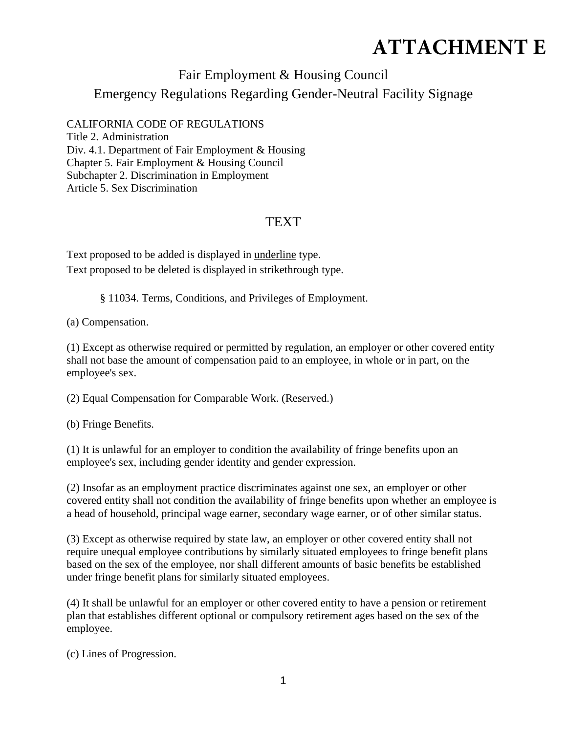## **ATTACHMENT E**

## Fair Employment & Housing Council

Emergency Regulations Regarding Gender-Neutral Facility Signage

## CALIFORNIA CODE OF REGULATIONS

Title 2. Administration Div. 4.1. Department of Fair Employment & Housing Chapter 5. Fair Employment & Housing Council Subchapter 2. Discrimination in Employment Article 5. Sex Discrimination

## **TEXT**

Text proposed to be added is displayed in underline type. Text proposed to be deleted is displayed in strikethrough type.

§ 11034. Terms, Conditions, and Privileges of Employment.

(a) Compensation.

(1) Except as otherwise required or permitted by regulation, an employer or other covered entity shall not base the amount of compensation paid to an employee, in whole or in part, on the employee's sex.

(2) Equal Compensation for Comparable Work. (Reserved.)

(b) Fringe Benefits.

(1) It is unlawful for an employer to condition the availability of fringe benefits upon an employee's sex, including gender identity and gender expression.

(2) Insofar as an employment practice discriminates against one sex, an employer or other covered entity shall not condition the availability of fringe benefits upon whether an employee is a head of household, principal wage earner, secondary wage earner, or of other similar status.

(3) Except as otherwise required by state law, an employer or other covered entity shall not require unequal employee contributions by similarly situated employees to fringe benefit plans based on the sex of the employee, nor shall different amounts of basic benefits be established under fringe benefit plans for similarly situated employees.

(4) It shall be unlawful for an employer or other covered entity to have a pension or retirement plan that establishes different optional or compulsory retirement ages based on the sex of the employee.

(c) Lines of Progression.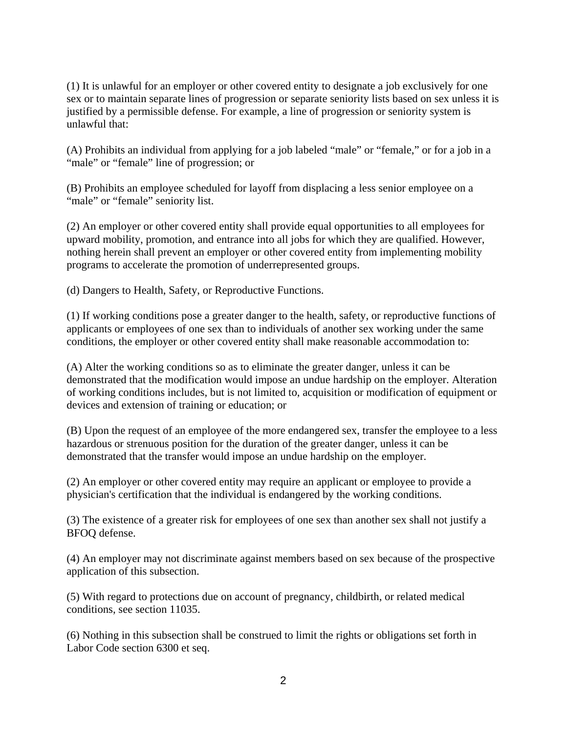(1) It is unlawful for an employer or other covered entity to designate a job exclusively for one sex or to maintain separate lines of progression or separate seniority lists based on sex unless it is justified by a permissible defense. For example, a line of progression or seniority system is unlawful that:

(A) Prohibits an individual from applying for a job labeled "male" or "female," or for a job in a "male" or "female" line of progression; or

(B) Prohibits an employee scheduled for layoff from displacing a less senior employee on a "male" or "female" seniority list.

(2) An employer or other covered entity shall provide equal opportunities to all employees for upward mobility, promotion, and entrance into all jobs for which they are qualified. However, nothing herein shall prevent an employer or other covered entity from implementing mobility programs to accelerate the promotion of underrepresented groups.

(d) Dangers to Health, Safety, or Reproductive Functions.

(1) If working conditions pose a greater danger to the health, safety, or reproductive functions of applicants or employees of one sex than to individuals of another sex working under the same conditions, the employer or other covered entity shall make reasonable accommodation to:

(A) Alter the working conditions so as to eliminate the greater danger, unless it can be demonstrated that the modification would impose an undue hardship on the employer. Alteration of working conditions includes, but is not limited to, acquisition or modification of equipment or devices and extension of training or education; or

(B) Upon the request of an employee of the more endangered sex, transfer the employee to a less hazardous or strenuous position for the duration of the greater danger, unless it can be demonstrated that the transfer would impose an undue hardship on the employer.

(2) An employer or other covered entity may require an applicant or employee to provide a physician's certification that the individual is endangered by the working conditions.

(3) The existence of a greater risk for employees of one sex than another sex shall not justify a BFOQ defense.

(4) An employer may not discriminate against members based on sex because of the prospective application of this subsection.

(5) With regard to protections due on account of pregnancy, childbirth, or related medical conditions, see section 11035.

(6) Nothing in this subsection shall be construed to limit the rights or obligations set forth in Labor Code section 6300 et seq.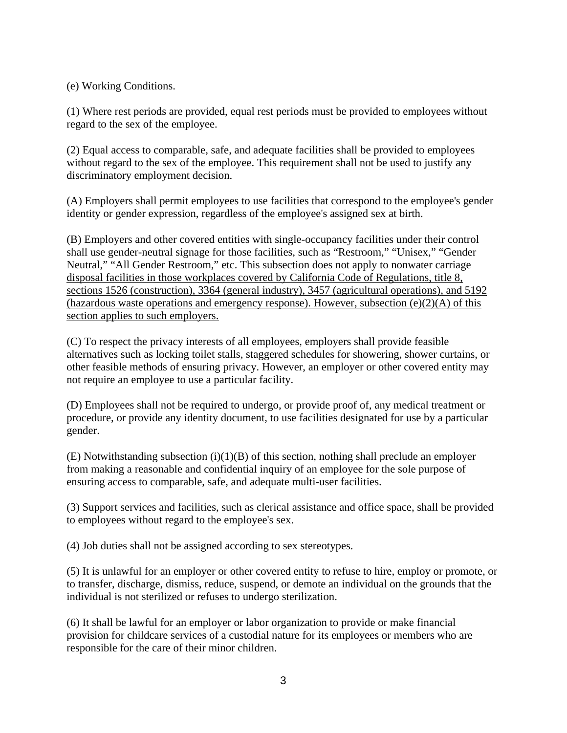(e) Working Conditions.

(1) Where rest periods are provided, equal rest periods must be provided to employees without regard to the sex of the employee.

(2) Equal access to comparable, safe, and adequate facilities shall be provided to employees without regard to the sex of the employee. This requirement shall not be used to justify any discriminatory employment decision.

(A) Employers shall permit employees to use facilities that correspond to the employee's gender identity or gender expression, regardless of the employee's assigned sex at birth.

(B) Employers and other covered entities with single-occupancy facilities under their control shall use gender-neutral signage for those facilities, such as "Restroom," "Unisex," "Gender Neutral," "All Gender Restroom," etc. This subsection does not apply to nonwater carriage disposal facilities in those workplaces covered by California Code of Regulations, title 8, sections 1526 (construction), 3364 (general industry), 3457 (agricultural operations), and 5192 (hazardous waste operations and emergency response). However, subsection (e)(2)(A) of this section applies to such employers.

(C) To respect the privacy interests of all employees, employers shall provide feasible alternatives such as locking toilet stalls, staggered schedules for showering, shower curtains, or other feasible methods of ensuring privacy. However, an employer or other covered entity may not require an employee to use a particular facility.

(D) Employees shall not be required to undergo, or provide proof of, any medical treatment or procedure, or provide any identity document, to use facilities designated for use by a particular gender.

 $(E)$  Notwithstanding subsection (i)(1)(B) of this section, nothing shall preclude an employer from making a reasonable and confidential inquiry of an employee for the sole purpose of ensuring access to comparable, safe, and adequate multi-user facilities.

(3) Support services and facilities, such as clerical assistance and office space, shall be provided to employees without regard to the employee's sex.

(4) Job duties shall not be assigned according to sex stereotypes.

(5) It is unlawful for an employer or other covered entity to refuse to hire, employ or promote, or to transfer, discharge, dismiss, reduce, suspend, or demote an individual on the grounds that the individual is not sterilized or refuses to undergo sterilization.

(6) It shall be lawful for an employer or labor organization to provide or make financial provision for childcare services of a custodial nature for its employees or members who are responsible for the care of their minor children.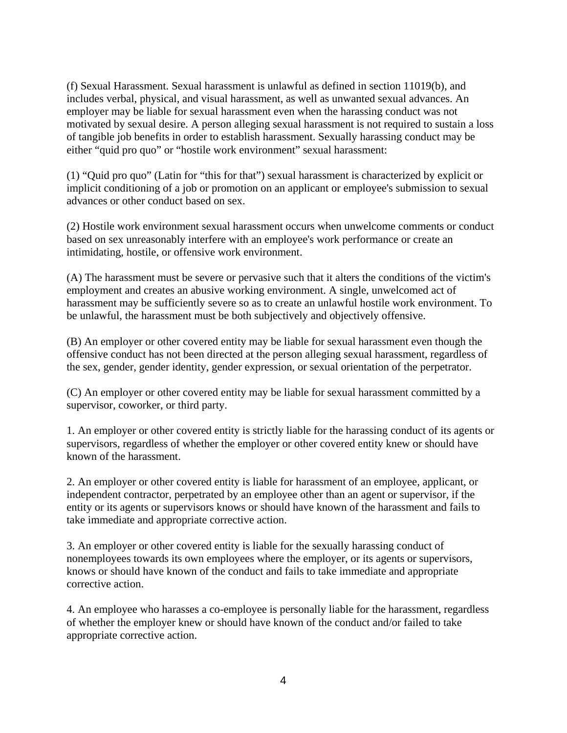(f) Sexual Harassment. Sexual harassment is unlawful as defined in section 11019(b), and includes verbal, physical, and visual harassment, as well as unwanted sexual advances. An employer may be liable for sexual harassment even when the harassing conduct was not motivated by sexual desire. A person alleging sexual harassment is not required to sustain a loss of tangible job benefits in order to establish harassment. Sexually harassing conduct may be either "quid pro quo" or "hostile work environment" sexual harassment:

(1) "Quid pro quo" (Latin for "this for that") sexual harassment is characterized by explicit or implicit conditioning of a job or promotion on an applicant or employee's submission to sexual advances or other conduct based on sex.

(2) Hostile work environment sexual harassment occurs when unwelcome comments or conduct based on sex unreasonably interfere with an employee's work performance or create an intimidating, hostile, or offensive work environment.

(A) The harassment must be severe or pervasive such that it alters the conditions of the victim's employment and creates an abusive working environment. A single, unwelcomed act of harassment may be sufficiently severe so as to create an unlawful hostile work environment. To be unlawful, the harassment must be both subjectively and objectively offensive.

(B) An employer or other covered entity may be liable for sexual harassment even though the offensive conduct has not been directed at the person alleging sexual harassment, regardless of the sex, gender, gender identity, gender expression, or sexual orientation of the perpetrator.

(C) An employer or other covered entity may be liable for sexual harassment committed by a supervisor, coworker, or third party.

1. An employer or other covered entity is strictly liable for the harassing conduct of its agents or supervisors, regardless of whether the employer or other covered entity knew or should have known of the harassment.

2. An employer or other covered entity is liable for harassment of an employee, applicant, or independent contractor, perpetrated by an employee other than an agent or supervisor, if the entity or its agents or supervisors knows or should have known of the harassment and fails to take immediate and appropriate corrective action.

3. An employer or other covered entity is liable for the sexually harassing conduct of nonemployees towards its own employees where the employer, or its agents or supervisors, knows or should have known of the conduct and fails to take immediate and appropriate corrective action.

4. An employee who harasses a co-employee is personally liable for the harassment, regardless of whether the employer knew or should have known of the conduct and/or failed to take appropriate corrective action.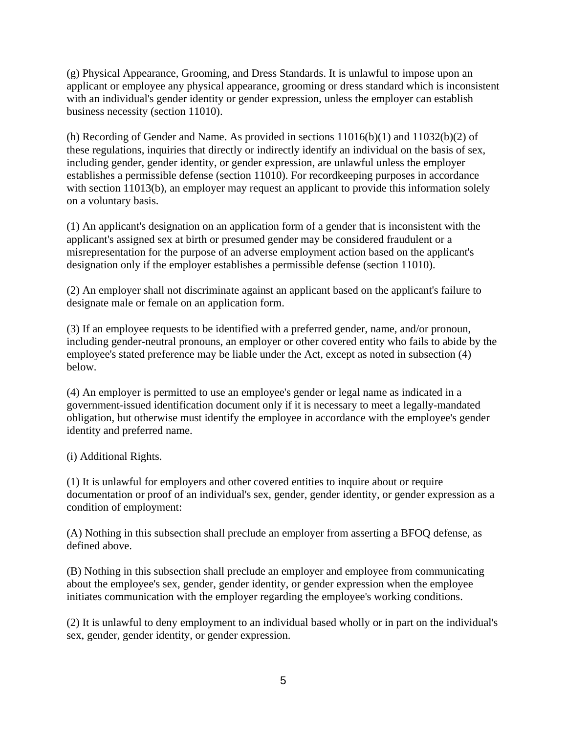(g) Physical Appearance, Grooming, and Dress Standards. It is unlawful to impose upon an applicant or employee any physical appearance, grooming or dress standard which is inconsistent with an individual's gender identity or gender expression, unless the employer can establish business necessity (section 11010).

(h) Recording of Gender and Name. As provided in sections  $11016(b)(1)$  and  $11032(b)(2)$  of these regulations, inquiries that directly or indirectly identify an individual on the basis of sex, including gender, gender identity, or gender expression, are unlawful unless the employer establishes a permissible defense (section 11010). For recordkeeping purposes in accordance with section 11013(b), an employer may request an applicant to provide this information solely on a voluntary basis.

(1) An applicant's designation on an application form of a gender that is inconsistent with the applicant's assigned sex at birth or presumed gender may be considered fraudulent or a misrepresentation for the purpose of an adverse employment action based on the applicant's designation only if the employer establishes a permissible defense (section 11010).

(2) An employer shall not discriminate against an applicant based on the applicant's failure to designate male or female on an application form.

(3) If an employee requests to be identified with a preferred gender, name, and/or pronoun, including gender-neutral pronouns, an employer or other covered entity who fails to abide by the employee's stated preference may be liable under the Act, except as noted in subsection (4) below.

(4) An employer is permitted to use an employee's gender or legal name as indicated in a government-issued identification document only if it is necessary to meet a legally-mandated obligation, but otherwise must identify the employee in accordance with the employee's gender identity and preferred name.

(i) Additional Rights.

(1) It is unlawful for employers and other covered entities to inquire about or require documentation or proof of an individual's sex, gender, gender identity, or gender expression as a condition of employment:

(A) Nothing in this subsection shall preclude an employer from asserting a BFOQ defense, as defined above.

(B) Nothing in this subsection shall preclude an employer and employee from communicating about the employee's sex, gender, gender identity, or gender expression when the employee initiates communication with the employer regarding the employee's working conditions.

(2) It is unlawful to deny employment to an individual based wholly or in part on the individual's sex, gender, gender identity, or gender expression.